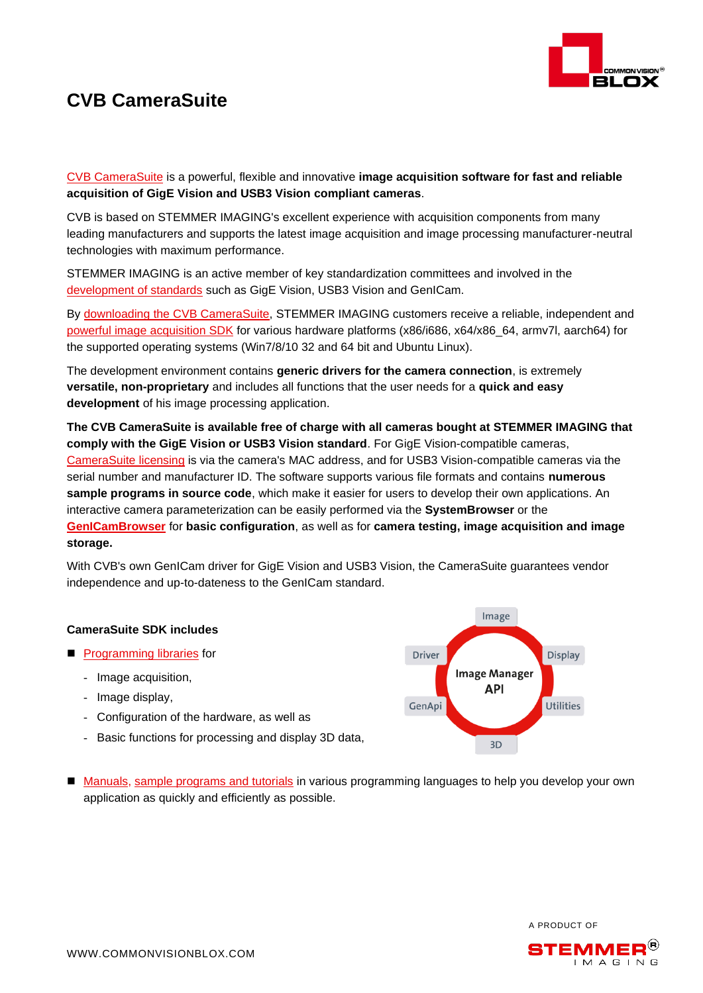

## **CVB CameraSuite**

[CVB CameraSuite](https://www.commonvisionblox.com/en/products/series/cvb-camerasuite/) is a powerful, flexible and innovative **image acquisition software for fast and reliable acquisition of GigE Vision and USB3 Vision compliant cameras**.

CVB is based on STEMMER IMAGING's excellent experience with acquisition components from many leading manufacturers and supports the latest image acquisition and image processing manufacturer-neutral technologies with maximum performance.

STEMMER IMAGING is an active member of key standardization committees and involved in the [development of standards](https://www.stemmer-imaging.com/en-gb/organisations/?choose-site=active) such as GigE Vision, USB3 Vision and GenICam.

By [downloading the CVB CameraSuite,](https://forum.commonvisionblox.com/c/downloads) STEMMER IMAGING customers receive a reliable, independent and powerful image [acquisition SDK](https://www.commonvisionblox.com/en/products/series/cvb-image-manager/) for various hardware platforms (x86/i686, x64/x86\_64, armv7l, aarch64) for the supported operating systems (Win7/8/10 32 and 64 bit and Ubuntu Linux).

The development environment contains **generic drivers for the camera connection**, is extremely **versatile, non-proprietary** and includes all functions that the user needs for a **quick and easy development** of his image processing application.

**The CVB CameraSuite is available free of charge with all cameras bought at STEMMER IMAGING that comply with the GigE Vision or USB3 Vision standard**. For GigE Vision-compatible cameras, [CameraSuite licensing](https://www.commonvisionblox.com/en/licence-key-request/) is via the camera's MAC address, and for USB3 Vision-compatible cameras via the serial number and manufacturer ID. The software supports various file formats and contains **numerous sample programs in source code**, which make it easier for users to develop their own applications. An interactive camera parameterization can be easily performed via the **SystemBrowser** or the **[GenICamBrowser](http://help.commonvisionblox.com/Configurator/index.html?genicambrowser.htm)** for **basic configuration**, as well as for **camera testing, image acquisition and image storage.**

With CVB's own GenICam driver for GigE Vision and USB3 Vision, the CameraSuite guarantees vendor independence and up-to-dateness to the GenICam standard.

## **CameraSuite SDK includes**

- [Programming libraries](http://help.commonvisionblox.com/Reference/index.html?html_theoryofoperation.html) for
	- Image acquisition,
	- Image display,
	- Configuration of the hardware, as well as
	- Basic functions for processing and display 3D data,



■ [Manuals,](http://help.commonvisionblox.com/Reference/index.html?cvb-manuals.html) [sample programs and tutorials](http://help.commonvisionblox.com/ImageManager/index.html?html_examples_im_tutorials_overview.htm) in various programming languages to help you develop your own application as quickly and efficiently as possible.